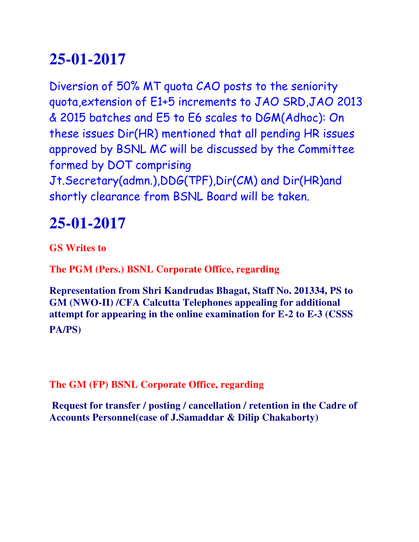Diversion of 50% MT quota CAO posts to the seniority quota,extension of E1+5 increments to JAO SRD,JAO 2013 & 2015 batches and E5 to E6 scales to DGM(Adhoc): On these issues Dir(HR) mentioned that all pending HR issues approved by BSNL MC will be discussed by the Committee formed by DOT comprising Jt.Secretary(admn.),DDG(TPF),Dir(CM) and Dir(HR)and shortly clearance from BSNL Board will be taken.

#### **25-01-2017**

**GS Writes to**

**The PGM (Pers.) BSNL Corporate Office, regarding**

**Representation from Shri Kandrudas Bhagat, Staff No. 201334, PS to GM (NWO-II) /CFA Calcutta Telephones appealing for additional attempt for appearing in the online examination for E-2 to E-3 (CSSS PA/PS)**

**The GM (FP) BSNL Corporate Office, regarding**

**Request for transfer / posting / cancellation / retention in the Cadre of Accounts Personnel(case of J.Samaddar & Dilip Chakaborty)**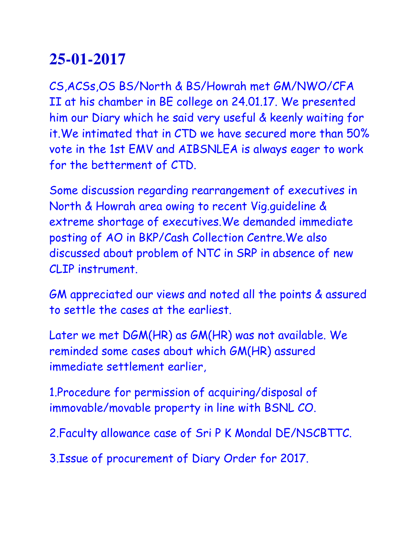CS,ACSs,OS BS/North & BS/Howrah met GM/NWO/CFA II at his chamber in BE college on 24.01.17. We presented him our Diary which he said very useful & keenly waiting for it.We intimated that in CTD we have secured more than 50% vote in the 1st EMV and AIBSNLEA is always eager to work for the betterment of CTD.

Some discussion regarding rearrangement of executives in North & Howrah area owing to recent Vig.guideline & extreme shortage of executives.We demanded immediate posting of AO in BKP/Cash Collection Centre.We also discussed about problem of NTC in SRP in absence of new CLIP instrument.

GM appreciated our views and noted all the points & assured to settle the cases at the earliest.

Later we met DGM(HR) as GM(HR) was not available. We reminded some cases about which GM(HR) assured immediate settlement earlier,

1.Procedure for permission of acquiring/disposal of immovable/movable property in line with BSNL CO.

2.Faculty allowance case of Sri P K Mondal DE/NSCBTTC.

3.Issue of procurement of Diary Order for 2017.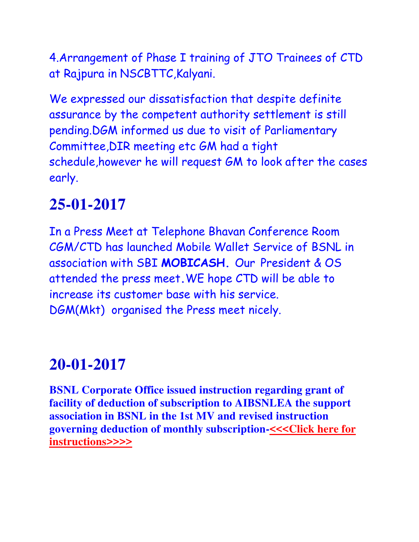4.Arrangement of Phase I training of JTO Trainees of CTD at Rajpura in NSCBTTC,Kalyani.

We expressed our dissatisfaction that despite definite assurance by the competent authority settlement is still pending.DGM informed us due to visit of Parliamentary Committee,DIR meeting etc GM had a tight schedule,however he will request GM to look after the cases early.

## **25-01-2017**

In a Press Meet at Telephone Bhavan Conference Room CGM/CTD has launched Mobile Wallet Service of BSNL in association with SBI **MOBICASH.** Our President & OS attended the press meet**.**WE hope CTD will be able to increase its customer base with his service. DGM(Mkt) organised the Press meet nicely.

# **20-01-2017**

**BSNL Corporate Office issued instruction regarding grant of facility of deduction of subscription to AIBSNLEA the support association in BSNL in the 1st MV and revised instruction governing deduction of monthly subscription[-<<<Click here for](http://www.aibsnleachq.in/AIBSNLEA-Deduc.pdf)  [instructions>>>>](http://www.aibsnleachq.in/AIBSNLEA-Deduc.pdf)**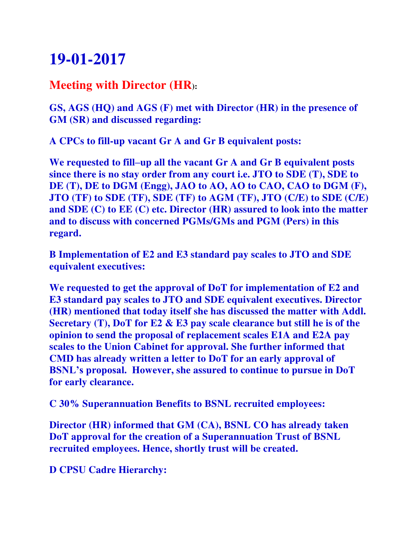#### **Meeting with Director (HR):**

**GS, AGS (HQ) and AGS (F) met with Director (HR) in the presence of GM (SR) and discussed regarding:**

**A CPCs to fill-up vacant Gr A and Gr B equivalent posts:** 

**We requested to fill–up all the vacant Gr A and Gr B equivalent posts since there is no stay order from any court i.e. JTO to SDE (T), SDE to DE (T), DE to DGM (Engg), JAO to AO, AO to CAO, CAO to DGM (F), JTO (TF) to SDE (TF), SDE (TF) to AGM (TF), JTO (C/E) to SDE (C/E) and SDE (C) to EE (C) etc. Director (HR) assured to look into the matter and to discuss with concerned PGMs/GMs and PGM (Pers) in this regard.**

**B Implementation of E2 and E3 standard pay scales to JTO and SDE equivalent executives:** 

**We requested to get the approval of DoT for implementation of E2 and E3 standard pay scales to JTO and SDE equivalent executives. Director (HR) mentioned that today itself she has discussed the matter with Addl. Secretary (T), DoT for E2 & E3 pay scale clearance but still he is of the opinion to send the proposal of replacement scales E1A and E2A pay scales to the Union Cabinet for approval. She further informed that CMD has already written a letter to DoT for an early approval of BSNL's proposal. However, she assured to continue to pursue in DoT for early clearance.**

**C 30% Superannuation Benefits to BSNL recruited employees:** 

**Director (HR) informed that GM (CA), BSNL CO has already taken DoT approval for the creation of a Superannuation Trust of BSNL recruited employees. Hence, shortly trust will be created.**

**D CPSU Cadre Hierarchy:**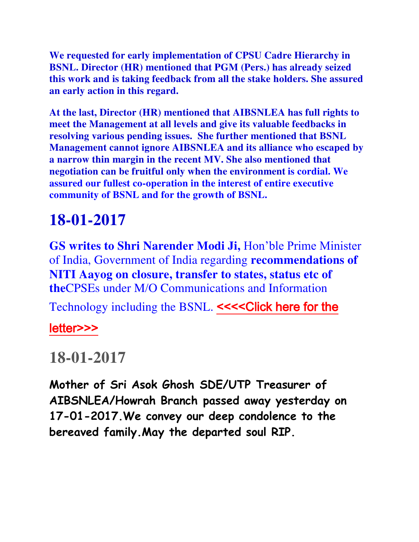**We requested for early implementation of CPSU Cadre Hierarchy in BSNL. Director (HR) mentioned that PGM (Pers.) has already seized this work and is taking feedback from all the stake holders. She assured an early action in this regard.**

**At the last, Director (HR) mentioned that AIBSNLEA has full rights to meet the Management at all levels and give its valuable feedbacks in resolving various pending issues. She further mentioned that BSNL Management cannot ignore AIBSNLEA and its alliance who escaped by a narrow thin margin in the recent MV. She also mentioned that negotiation can be fruitful only when the environment is cordial. We assured our fullest co-operation in the interest of entire executive community of BSNL and for the growth of BSNL.**

### **18-01-2017**

**GS writes to Shri Narender Modi Ji,** Hon'ble Prime Minister of India, Government of India regarding **recommendations of NITI Aayog on closure, transfer to states, status etc of the**CPSEs under M/O Communications and Information

Technology including the BSNL. <<<<Click here for the

[letter>>>](http://www.aibsnleachq.in/PMO_170118.pdf)

#### **18-01-2017**

**Mother of Sri Asok Ghosh SDE/UTP Treasurer of AIBSNLEA/Howrah Branch passed away yesterday on 17-01-2017.We convey our deep condolence to the bereaved family.May the departed soul RIP.**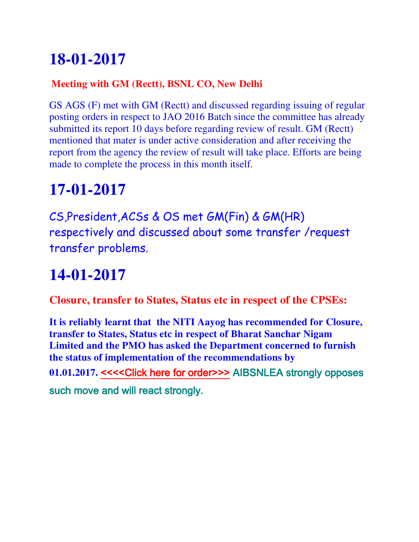#### **Meeting with GM (Rectt), BSNL CO, New Delhi**

GS AGS (F) met with GM (Rectt) and discussed regarding issuing of regular posting orders in respect to JAO 2016 Batch since the committee has already submitted its report 10 days before regarding review of result. GM (Rectt) mentioned that mater is under active consideration and after receiving the report from the agency the review of result will take place. Efforts are being made to complete the process in this month itself.

# **17-01-2017**

CS,President,ACSs & OS met GM(Fin) & GM(HR) respectively and discussed about some transfer /request transfer problems.

# **14-01-2017**

**Closure, transfer to States, Status etc in respect of the CPSEs:**

**It is reliably learnt that the NITI Aayog has recommended for Closure, transfer to States, Status etc in respect of Bharat Sanchar Nigam Limited and the PMO has asked the Department concerned to furnish the status of implementation of the recommendations by**  01.01.2017. <<<<Click here for order>>>AIBSNLEA strongly opposes such move and will react strongly.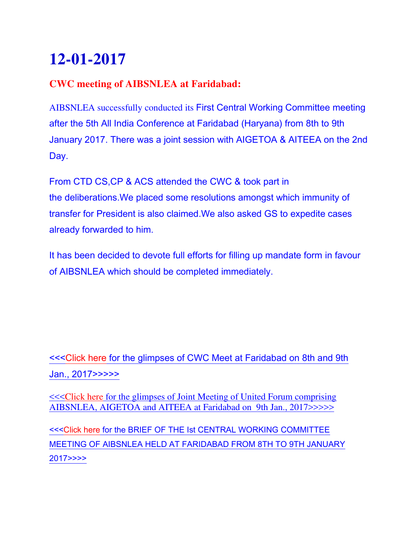#### **CWC meeting of AIBSNLEA at Faridabad:**

AIBSNLEA successfully conducted its First Central Working Committee meeting after the 5th All India Conference at Faridabad (Haryana) from 8th to 9th January 2017. There was a joint session with AIGETOA & AITEEA on the 2nd Day.

From CTD CS,CP & ACS attended the CWC & took part in the deliberations.We placed some resolutions amongst which immunity of transfer for President is also claimed.We also asked GS to expedite cases already forwarded to him.

It has been decided to devote full efforts for filling up mandate form in favour of AIBSNLEA which should be completed immediately.

[<<<Click here for the glimpses of CWC Meet at Faridabad on 8th and 9th](https://photos.google.com/u/1/album/AF1QipMKU9c2NErRDgH4lHLuqDu-2FLWZS4kvx4073R_/photo/AF1QipMZ1mmKWYugCqe6zmt0qptC5F9zMXmlM_fyhlFq)  [Jan., 2017>>>>>](https://photos.google.com/u/1/album/AF1QipMKU9c2NErRDgH4lHLuqDu-2FLWZS4kvx4073R_/photo/AF1QipMZ1mmKWYugCqe6zmt0qptC5F9zMXmlM_fyhlFq)

**<<<Click here for the glimpses of Joint Meeting of United Forum comprising** [AIBSNLEA, AIGETOA and AITEEA at Faridabad on 9th Jan., 2017>>>>>](https://photos.google.com/u/1/album/AF1QipMKU9c2NErRDgH4lHLuqDu-2FLWZS4kvx4073R_/photo/AF1QipOBMaBIKnSDc5UTDNdRRh1r4BMxczziujpsLRp8)

[<<<Click here for the BRIEF OF THE Ist CENTRAL WORKING COMMITTEE](http://www.aibsnleachq.in/cwc%20faridabad%20minutes.pdf)  [MEETING OF AIBSNLEA HELD AT FARIDABAD FROM 8TH TO 9TH JANUARY](http://www.aibsnleachq.in/cwc%20faridabad%20minutes.pdf)  [2017>>>>](http://www.aibsnleachq.in/cwc%20faridabad%20minutes.pdf)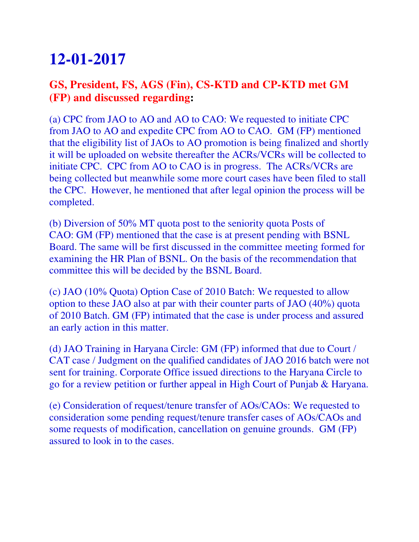#### **GS, President, FS, AGS (Fin), CS-KTD and CP-KTD met GM (FP) and discussed regarding:**

(a) CPC from JAO to AO and AO to CAO: We requested to initiate CPC from JAO to AO and expedite CPC from AO to CAO. GM (FP) mentioned that the eligibility list of JAOs to AO promotion is being finalized and shortly it will be uploaded on website thereafter the ACRs/VCRs will be collected to initiate CPC. CPC from AO to CAO is in progress. The ACRs/VCRs are being collected but meanwhile some more court cases have been filed to stall the CPC. However, he mentioned that after legal opinion the process will be completed.

(b) Diversion of 50% MT quota post to the seniority quota Posts of CAO: GM (FP) mentioned that the case is at present pending with BSNL Board. The same will be first discussed in the committee meeting formed for examining the HR Plan of BSNL. On the basis of the recommendation that committee this will be decided by the BSNL Board.

(c) JAO (10% Quota) Option Case of 2010 Batch: We requested to allow option to these JAO also at par with their counter parts of JAO (40%) quota of 2010 Batch. GM (FP) intimated that the case is under process and assured an early action in this matter.

(d) JAO Training in Haryana Circle: GM (FP) informed that due to Court / CAT case / Judgment on the qualified candidates of JAO 2016 batch were not sent for training. Corporate Office issued directions to the Haryana Circle to go for a review petition or further appeal in High Court of Punjab & Haryana.

(e) Consideration of request/tenure transfer of AOs/CAOs: We requested to consideration some pending request/tenure transfer cases of AOs/CAOs and some requests of modification, cancellation on genuine grounds. GM (FP) assured to look in to the cases.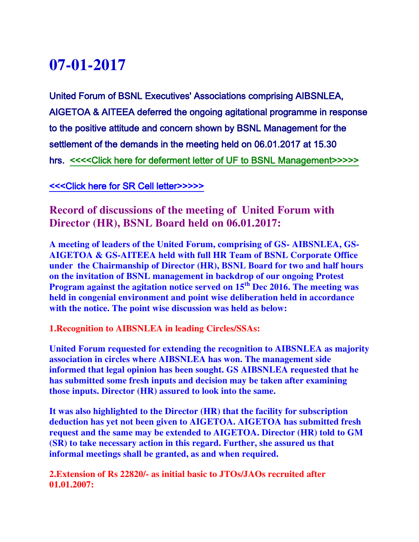### **07-01-2017**f

United Forum of BSNL Executives' Associations comprising AIBSNLEA, AIGETOA & AITEEA deferred the ongoing agitational programme in response to the positive attitude and concern shown by BSNL Management for the settlement of the demands in the meeting held on 06.01.2017 at 15.30 hrs. <<<<Click here for deferment letter of UF to BSNL Management>>>>>

[<<<Click here for SR Cell letter>>>>>](http://www.aibsnleachq.in/UF_def_1705070001.PDF)

**Record of discussions of the meeting of United Forum with Director (HR), BSNL Board held on 06.01.2017:**

**A meeting of leaders of the United Forum, comprising of GS- AIBSNLEA, GS-AIGETOA & GS-AITEEA held with full HR Team of BSNL Corporate Office under the Chairmanship of Director (HR), BSNL Board for two and half hours on the invitation of BSNL management in backdrop of our ongoing Protest Program against the agitation notice served on 15th Dec 2016. The meeting was held in congenial environment and point wise deliberation held in accordance with the notice. The point wise discussion was held as below:**

**1.Recognition to AIBSNLEA in leading Circles/SSAs:**

**United Forum requested for extending the recognition to AIBSNLEA as majority association in circles where AIBSNLEA has won. The management side informed that legal opinion has been sought. GS AIBSNLEA requested that he has submitted some fresh inputs and decision may be taken after examining those inputs. Director (HR) assured to look into the same.**

**It was also highlighted to the Director (HR) that the facility for subscription deduction has yet not been given to AIGETOA. AIGETOA has submitted fresh request and the same may be extended to AIGETOA. Director (HR) told to GM (SR) to take necessary action in this regard. Further, she assured us that informal meetings shall be granted, as and when required.**

**2.Extension of Rs 22820/- as initial basic to JTOs/JAOs recruited after 01.01.2007:**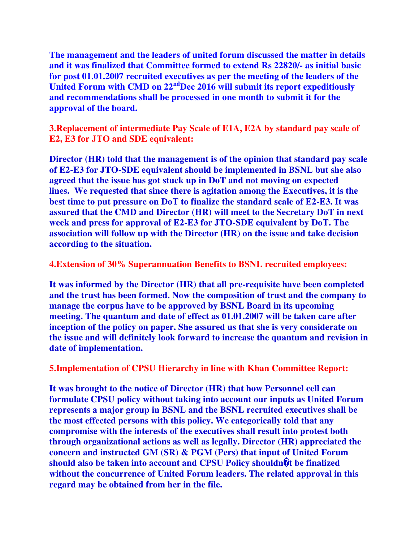**The management and the leaders of united forum discussed the matter in details and it was finalized that Committee formed to extend Rs 22820/- as initial basic for post 01.01.2007 recruited executives as per the meeting of the leaders of the United Forum with CMD on 22ndDec 2016 will submit its report expeditiously and recommendations shall be processed in one month to submit it for the approval of the board.**

**3.Replacement of intermediate Pay Scale of E1A, E2A by standard pay scale of E2, E3 for JTO and SDE equivalent:**

**Director (HR) told that the management is of the opinion that standard pay scale of E2-E3 for JTO-SDE equivalent should be implemented in BSNL but she also agreed that the issue has got stuck up in DoT and not moving on expected lines. We requested that since there is agitation among the Executives, it is the best time to put pressure on DoT to finalize the standard scale of E2-E3. It was assured that the CMD and Director (HR) will meet to the Secretary DoT in next week and press for approval of E2-E3 for JTO-SDE equivalent by DoT. The association will follow up with the Director (HR) on the issue and take decision according to the situation.**

**4.Extension of 30% Superannuation Benefits to BSNL recruited employees:**

**It was informed by the Director (HR) that all pre-requisite have been completed and the trust has been formed. Now the composition of trust and the company to manage the corpus have to be approved by BSNL Board in its upcoming meeting. The quantum and date of effect as 01.01.2007 will be taken care after inception of the policy on paper. She assured us that she is very considerate on the issue and will definitely look forward to increase the quantum and revision in date of implementation.**

**5.Implementation of CPSU Hierarchy in line with Khan Committee Report:**

**It was brought to the notice of Director (HR) that how Personnel cell can formulate CPSU policy without taking into account our inputs as United Forum represents a major group in BSNL and the BSNL recruited executives shall be the most effected persons with this policy. We categorically told that any compromise with the interests of the executives shall result into protest both through organizational actions as well as legally. Director (HR) appreciated the concern and instructed GM (SR) & PGM (Pers) that input of United Forum should also be taken into account and CPSU Policy shouldn�t be finalized without the concurrence of United Forum leaders. The related approval in this regard may be obtained from her in the file.**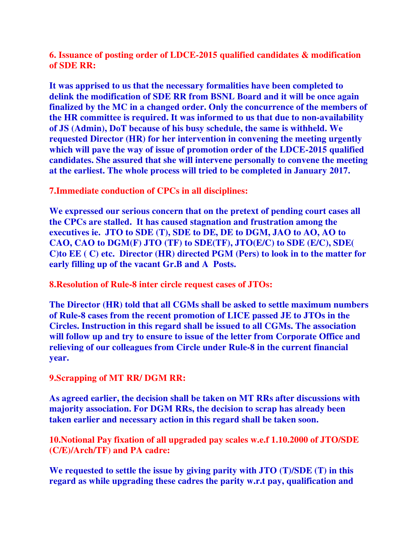**6. Issuance of posting order of LDCE-2015 qualified candidates & modification of SDE RR:**

**It was apprised to us that the necessary formalities have been completed to delink the modification of SDE RR from BSNL Board and it will be once again finalized by the MC in a changed order. Only the concurrence of the members of the HR committee is required. It was informed to us that due to non-availability of JS (Admin), DoT because of his busy schedule, the same is withheld. We requested Director (HR) for her intervention in convening the meeting urgently which will pave the way of issue of promotion order of the LDCE-2015 qualified candidates. She assured that she will intervene personally to convene the meeting at the earliest. The whole process will tried to be completed in January 2017.**

**7.Immediate conduction of CPCs in all disciplines:**

**We expressed our serious concern that on the pretext of pending court cases all the CPCs are stalled. It has caused stagnation and frustration among the executives ie. JTO to SDE (T), SDE to DE, DE to DGM, JAO to AO, AO to CAO, CAO to DGM(F) JTO (TF) to SDE(TF), JTO(E/C) to SDE (E/C), SDE( C)to EE ( C) etc. Director (HR) directed PGM (Pers) to look in to the matter for early filling up of the vacant Gr.B and A Posts.**

**8.Resolution of Rule-8 inter circle request cases of JTOs:**

**The Director (HR) told that all CGMs shall be asked to settle maximum numbers of Rule-8 cases from the recent promotion of LICE passed JE to JTOs in the Circles. Instruction in this regard shall be issued to all CGMs. The association will follow up and try to ensure to issue of the letter from Corporate Office and relieving of our colleagues from Circle under Rule-8 in the current financial year.**

**9.Scrapping of MT RR/ DGM RR:**

**As agreed earlier, the decision shall be taken on MT RRs after discussions with majority association. For DGM RRs, the decision to scrap has already been taken earlier and necessary action in this regard shall be taken soon.**

**10.Notional Pay fixation of all upgraded pay scales w.e.f 1.10.2000 of JTO/SDE (C/E)/Arch/TF) and PA cadre:** 

**We requested to settle the issue by giving parity with JTO (T)/SDE (T) in this regard as while upgrading these cadres the parity w.r.t pay, qualification and**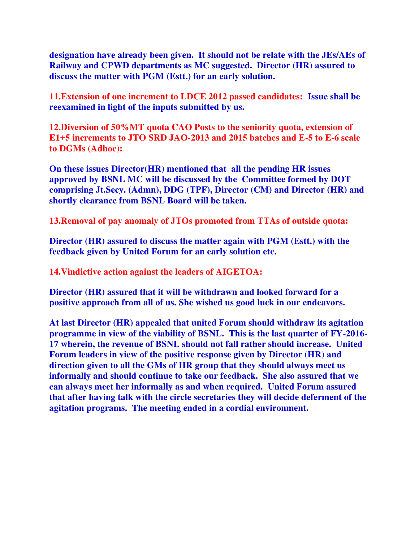**designation have already been given. It should not be relate with the JEs/AEs of Railway and CPWD departments as MC suggested. Director (HR) assured to discuss the matter with PGM (Estt.) for an early solution.**

**11.Extension of one increment to LDCE 2012 passed candidates: Issue shall be reexamined in light of the inputs submitted by us.** 

**12.Diversion of 50%MT quota CAO Posts to the seniority quota, extension of E1+5 increments to JTO SRD JAO-2013 and 2015 batches and E-5 to E-6 scale to DGMs (Adhoc):**

**On these issues Director(HR) mentioned that all the pending HR issues approved by BSNL MC will be discussed by the Committee formed by DOT comprising Jt.Secy. (Admn), DDG (TPF), Director (CM) and Director (HR) and shortly clearance from BSNL Board will be taken.**

**13.Removal of pay anomaly of JTOs promoted from TTAs of outside quota:**

**Director (HR) assured to discuss the matter again with PGM (Estt.) with the feedback given by United Forum for an early solution etc.** 

**14.Vindictive action against the leaders of AIGETOA:**

**Director (HR) assured that it will be withdrawn and looked forward for a positive approach from all of us. She wished us good luck in our endeavors.**

**At last Director (HR) appealed that united Forum should withdraw its agitation programme in view of the viability of BSNL. This is the last quarter of FY-2016- 17 wherein, the revenue of BSNL should not fall rather should increase. United Forum leaders in view of the positive response given by Director (HR) and direction given to all the GMs of HR group that they should always meet us informally and should continue to take our feedback. She also assured that we can always meet her informally as and when required. United Forum assured that after having talk with the circle secretaries they will decide deferment of the agitation programs. The meeting ended in a cordial environment.**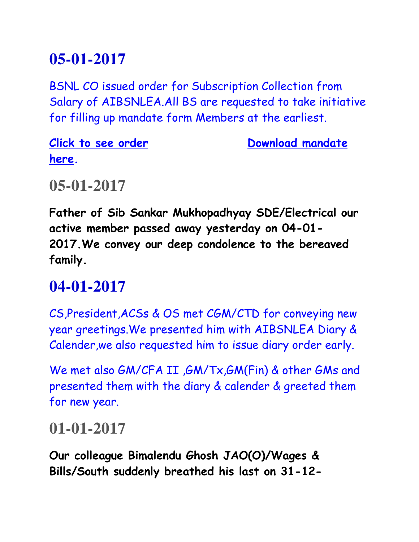BSNL CO issued order for Subscription Collection from Salary of AIBSNLEA.All BS are requested to take initiative for filling up mandate form Members at the earliest.

**here.** 

**Click to see order Click to see order Click bownload mandate** 

#### **05-01-2017**

**Father of Sib Sankar Mukhopadhyay SDE/Electrical our active member passed away yesterday on 04-01- 2017.We convey our deep condolence to the bereaved family.**

#### **04-01-2017**

CS,President,ACSs & OS met CGM/CTD for conveying new year greetings.We presented him with AIBSNLEA Diary & Calender,we also requested him to issue diary order early.

We met also GM/CFA II ,GM/Tx,GM(Fin) & other GMs and presented them with the diary & calender & greeted them for new year.

#### **01-01-2017**

**Our colleague Bimalendu Ghosh JAO(O)/Wages & Bills/South suddenly breathed his last on 31-12-**